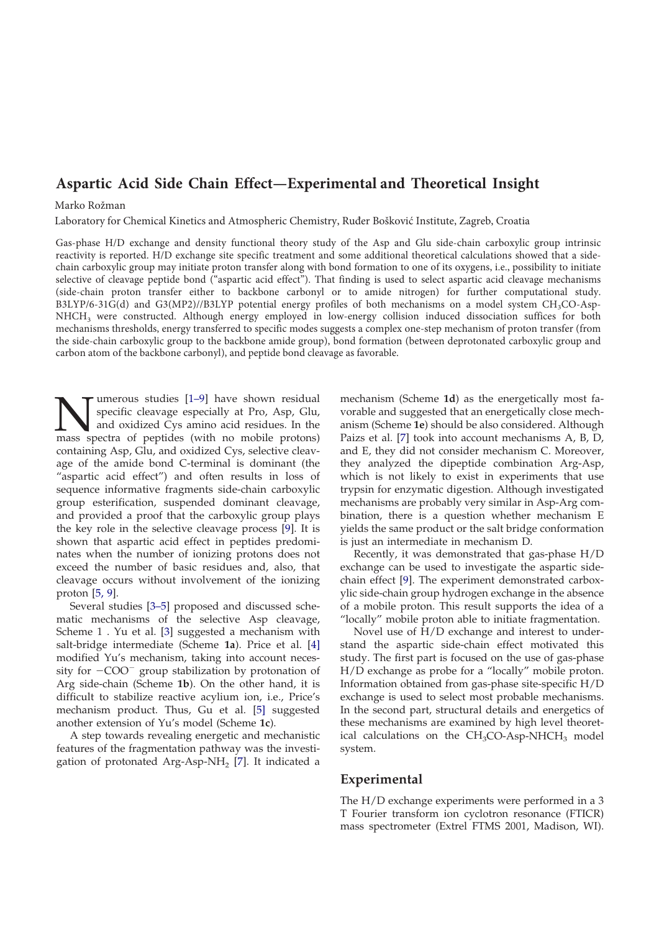# **Aspartic Acid Side Chain Effect—Experimental and Theoretical Insight**

#### Marko Rožman

Laboratory for Chemical Kinetics and Atmospheric Chemistry, Ruđer Bošković Institute, Zagreb, Croatia

Gas-phase H/D exchange and density functional theory study of the Asp and Glu side-chain carboxylic group intrinsic reactivity is reported. H/D exchange site specific treatment and some additional theoretical calculations showed that a sidechain carboxylic group may initiate proton transfer along with bond formation to one of its oxygens, i.e., possibility to initiate selective of cleavage peptide bond ("aspartic acid effect"). That finding is used to select aspartic acid cleavage mechanisms (side-chain proton transfer either to backbone carbonyl or to amide nitrogen) for further computational study. B3LYP/6-31G(d) and G3(MP2)//B3LYP potential energy profiles of both mechanisms on a model system CH<sub>3</sub>CO-Asp-NHCH3 were constructed. Although energy employed in low-energy collision induced dissociation suffices for both mechanisms thresholds, energy transferred to specific modes suggests a complex one-step mechanism of proton transfer (from the side-chain carboxylic group to the backbone amide group), bond formation (between deprotonated carboxylic group and carbon atom of the backbone carbonyl), and peptide bond cleavage as favorable.

**N** specific cleavage especially at Pro, Asp, Glu, and oxidized Cys amino acid residues. In the mass spectra of peptides (with no mobile protons) umerous studies [1–9] have shown residual specific cleavage especially at Pro, Asp, Glu, and oxidized Cys amino acid residues. In the containing Asp, Glu, and oxidized Cys, selective cleavage of the amide bond C-terminal is dominant (the "aspartic acid effect") and often results in loss of sequence informative fragments side-chain carboxylic group esterification, suspended dominant cleavage, and provided a proof that the carboxylic group plays the key role in the selective cleavage process [9]. It is shown that aspartic acid effect in peptides predominates when the number of ionizing protons does not exceed the number of basic residues and, also, that cleavage occurs without involvement of the ionizing proton [5, 9].

Several studies [3–5] proposed and discussed schematic mechanisms of the selective Asp cleavage, Scheme1. Yu et al. [3] suggested a mechanism with salt-bridge intermediate (Scheme **1a**). Price et al. [4] modified Yu's mechanism, taking into account necessity for  $-COO^-$  group stabilization by protonation of Arg side-chain (Scheme **1b**). On the other hand, it is difficult to stabilize reactive acylium ion, i.e., Price's mechanism product. Thus, Gu et al. [5] suggested another extension of Yu's model (Scheme **1c**).

A step towards revealing energetic and mechanistic features of the fragmentation pathway was the investigation of protonated Arg-Asp-NH<sub>2</sub> [7]. It indicated a

mechanism (Scheme **1d**) as the energetically most favorable and suggested that an energetically close mechanism (Scheme **1e**) should be also considered. Although Paizs et al. [7] took into account mechanisms A, B, D, and E, they did not consider mechanism C. Moreover, they analyzed the dipeptide combination Arg-Asp, which is not likely to exist in experiments that use trypsin for enzymatic digestion. Although investigated mechanisms are probably very similar in Asp-Arg combination, there is a question whether mechanism E yields the same product or the salt bridge conformation is just an intermediate in mechanism D.

Recently, it was demonstrated that gas-phase H/D exchange can be used to investigate the aspartic sidechain effect [9]. The experiment demonstrated carboxylic side-chain group hydrogen exchange in the absence of a mobile proton. This result supports the idea of a "locally" mobile proton able to initiate fragmentation.

Novel use of H/D exchange and interest to understand the aspartic side-chain effect motivated this study. The first part is focused on the use of gas-phase H/D exchange as probe for a "locally" mobile proton. Information obtained from gas-phase site-specific H/D exchange is used to select most probable mechanisms. In the second part, structural details and energetics of these mechanisms are examined by high level theoretical calculations on the  $CH<sub>3</sub>CO-Asp-NHCH<sub>3</sub>$  model system.

## **Experimental**

The H/D exchange experiments were performed in a 3 T Fourier transform ion cyclotron resonance (FTICR) mass spectrometer (Extrel FTMS 2001, Madison, WI).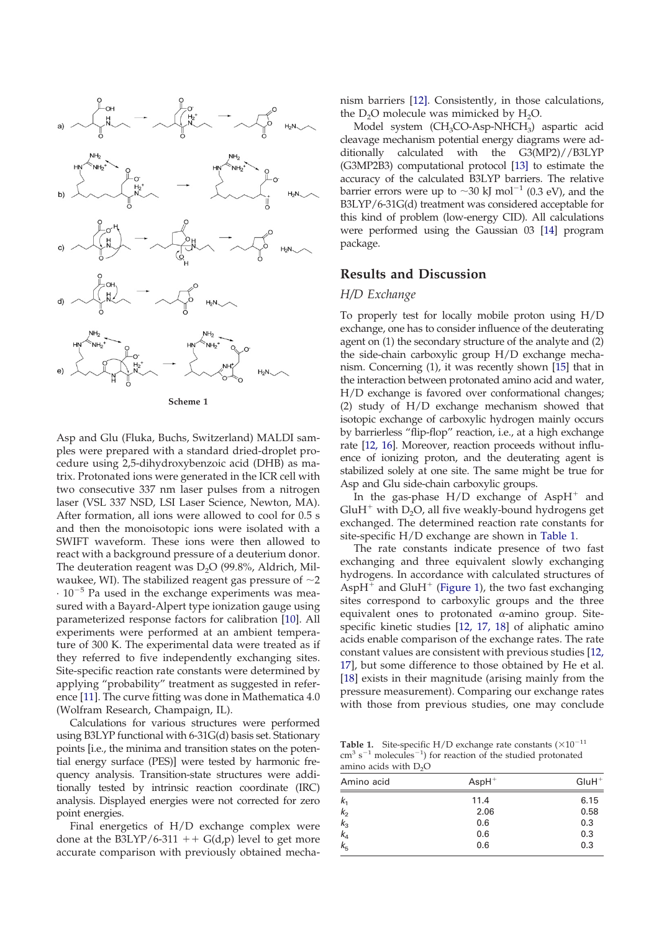

**Scheme 1**

The deuteration reagent was D<sub>2</sub>O (99.8%, Aldrich, Mil-Asp and Glu (Fluka, Buchs, Switzerland) MALDI samples were prepared with a standard dried-droplet procedure using 2,5-dihydroxybenzoic acid (DHB) as matrix. Protonated ions were generated in the ICR cell with two consecutive 337 nm laser pulses from a nitrogen laser (VSL 337 NSD, LSI Laser Science, Newton, MA). After formation, all ions were allowed to cool for 0.5 s and then the monoisotopic ions were isolated with a SWIFT waveform. These ions were then allowed to react with a background pressure of a deuterium donor. waukee, WI). The stabilized reagent gas pressure of  ${\sim}2$  $\cdot 10^{-5}$  Pa used in the exchange experiments was measured with a Bayard-Alpert type ionization gauge using parameterized response factors for calibration [10]. All experiments were performed at an ambient temperature of 300 K. The experimental data were treated as if they referred to five independently exchanging sites. Site-specific reaction rate constants were determined by applying "probability" treatment as suggested in reference [11]. The curve fitting was done in Mathematica 4.0 (Wolfram Research, Champaign, IL).

Calculations for various structures were performed using B3LYP functional with 6-31G(d) basis set. Stationary points [i.e., the minima and transition states on the potential energy surface (PES)] were tested by harmonic frequency analysis. Transition-state structures were additionally tested by intrinsic reaction coordinate (IRC) analysis. Displayed energies were not corrected for zero point energies.

Final energetics of H/D exchange complex were done at the B3LYP/6-311  $+$  G(d,p) level to get more accurate comparison with previously obtained mechanism barriers [12]. Consistently, in those calculations, the  $D_2O$  molecule was mimicked by  $H_2O$ .

Model system (CH<sub>3</sub>CO-Asp-NHCH<sub>3</sub>) aspartic acid cleavage mechanism potential energy diagrams were additionally calculated with the G3(MP2)//B3LYP (G3MP2B3) computational protocol [13] to estimate the accuracy of the calculated B3LYP barriers. The relative barrier errors were up to  $\sim$ 30 kJ mol<sup>-1</sup> (0.3 eV), and the B3LYP/6-31G(d) treatment was considered acceptable for this kind of problem (low-energy CID). All calculations were performed using the Gaussian 03 [14] program package.

### **Results and Discussion**

#### *H/D Exchange*

To properly test for locally mobile proton using H/D exchange, one has to consider influence of the deuterating agent on (1) the secondary structure of the analyte and (2) the side-chain carboxylic group H/D exchange mechanism. Concerning (1), it was recently shown [15] that in the interaction between protonated amino acid and water, H/D exchange is favored over conformational changes; (2) study of H/D exchange mechanism showed that isotopic exchange of carboxylic hydrogen mainly occurs by barrierless "flip-flop" reaction, i.e., at a high exchange rate [12, 16]. Moreover, reaction proceeds without influence of ionizing proton, and the deuterating agent is stabilized solely at one site. The same might be true for Asp and Glu side-chain carboxylic groups.

In the gas-phase  $H/D$  exchange of  $AspH^{+}$  and  $GluH<sup>+</sup>$  with D<sub>2</sub>O, all five weakly-bound hydrogens get exchanged. The determined reaction rate constants for site-specific H/D exchange are shown in Table 1.

The rate constants indicate presence of two fast exchanging and three equivalent slowly exchanging hydrogens. In accordance with calculated structures of Asp $H^+$  and GluH<sup> $+$ </sup> (Figure 1), the two fast exchanging sites correspond to carboxylic groups and the three equivalent ones to protonated  $\alpha$ -amino group. Sitespecific kinetic studies [12, 17, 18] of aliphatic amino acids enable comparison of the exchange rates. The rate constant values are consistent with previous studies [12, 17], but some difference to those obtained by He et al. [18] exists in their magnitude (arising mainly from the pressure measurement). Comparing our exchange rates with those from previous studies, one may conclude

**Table 1.** Site-specific H/D exchange rate constants  $(\times 10^{-11})$  $\text{cm}^3 \text{ s}^{-1}$  molecules<sup>-1</sup>) for reaction of the studied protonated amino acids with  $D_2O$ 

| Amino acid              | $AspH+$ | $GluH^+$ |
|-------------------------|---------|----------|
| k <sub>1</sub>          | 11.4    | 6.15     |
| $k_{2}$                 | 2.06    | 0.58     |
|                         | 0.6     | 0.3      |
|                         | 0.6     | 0.3      |
| $k_3$<br>$k_4$<br>$k_5$ | 0.6     | 0.3      |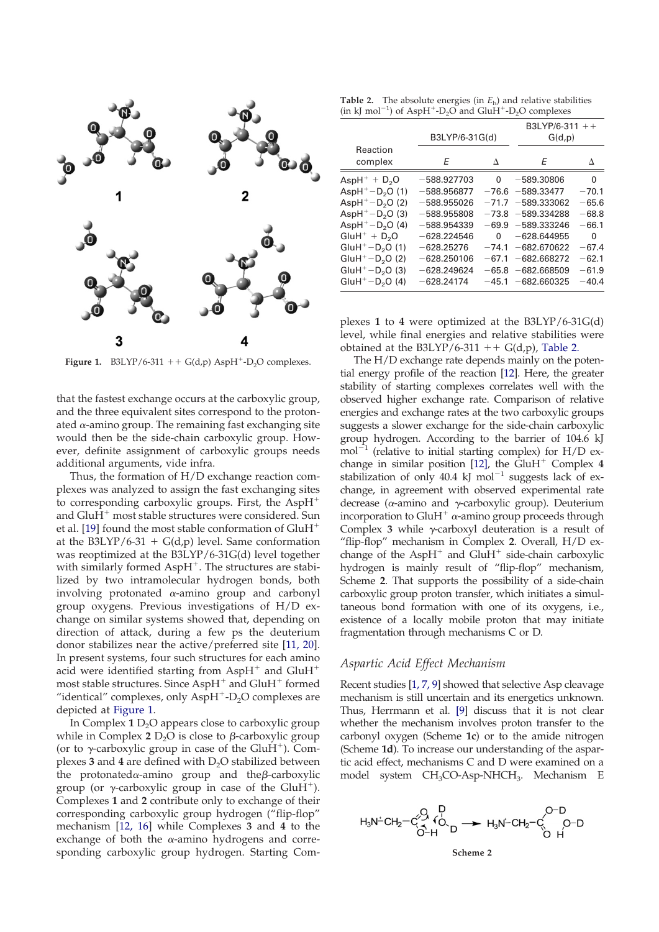

**Figure 1.** B3LYP/6-311  $++$  G(d,p) AspH<sup>+</sup>-D<sub>2</sub>O complexes.

that the fastest exchange occurs at the carboxylic group, and the three equivalent sites correspond to the protonated  $\alpha$ -amino group. The remaining fast exchanging site would then be the side-chain carboxylic group. However, definite assignment of carboxylic groups needs additional arguments, vide infra.

Thus, the formation of H/D exchange reaction complexes was analyzed to assign the fast exchanging sites to corresponding carboxylic groups. First, the AspH and  $GluH<sup>+</sup>$  most stable structures were considered. Sun et al. [19] found the most stable conformation of GluH at the B3LYP/6-31 +  $G(d,p)$  level. Same conformation was reoptimized at the B3LYP/6-31G(d) level together with similarly formed  $AspH^+$ . The structures are stabilized by two intramolecular hydrogen bonds, both involving protonated  $\alpha$ -amino group and carbonyl group oxygens. Previous investigations of H/D exchange on similar systems showed that, depending on direction of attack, during a few ps the deuterium donor stabilizes near the active/preferred site [11, 20]. In present systems, four such structures for each amino acid were identified starting from AspH<sup>+</sup> and  $GluH$ <sup>+</sup> most stable structures. Since  $AspH^+$  and  $GluH^+$  formed "identical" complexes, only  $AspH<sup>+</sup>-D<sub>2</sub>O$  complexes are depicted at Figure 1.

In Complex  $1 \text{ D}_2$ O appears close to carboxylic group while in Complex  $2 \mathrm{D}_2\mathrm{O}$  is close to  $\beta$ -carboxylic group (or to  $\gamma$ -carboxylic group in case of the GluH<sup>+</sup>). Complexes  $3$  and  $4$  are defined with  $D_2O$  stabilized between the protonated $\alpha$ -amino group and the $\beta$ -carboxylic group (or  $\gamma$ -carboxylic group in case of the GluH<sup>+</sup>). Complexes **1** and **2** contribute only to exchange of their corresponding carboxylic group hydrogen ("flip-flop" mechanism [12, 16] while Complexes **3** and **4** to the exchange of both the  $\alpha$ -amino hydrogens and corresponding carboxylic group hydrogen. Starting Com-

**Table 2.** The absolute energies (in  $E<sub>h</sub>$ ) and relative stabilities  $(in \text{ kJ mol}^{-1})$  of AspH<sup>+</sup>-D<sub>2</sub>O and GluH<sup>+</sup>-D<sub>2</sub>O complexes

|                                                                                                                                                                            | B3LYP/6-31G(d)                                                                                                                                       |                   | B3LYP/6-311 ++<br>G(d,p)                                                                                                                                                                      |                                                                                     |
|----------------------------------------------------------------------------------------------------------------------------------------------------------------------------|------------------------------------------------------------------------------------------------------------------------------------------------------|-------------------|-----------------------------------------------------------------------------------------------------------------------------------------------------------------------------------------------|-------------------------------------------------------------------------------------|
| Reaction<br>complex                                                                                                                                                        | Е                                                                                                                                                    | Δ                 | F                                                                                                                                                                                             | Л                                                                                   |
| $AspH^+ + D2O$<br>$AspH+-D2O(1)$<br>$AspH+-D2O(2)$<br>$AspH+-D2O(3)$<br>$AspH+-D2O(4)$<br>$GluH^+ + D2O$<br>$GluH^+ - D_2O(1)$<br>$GluH^+ - D_2O(2)$<br>$GluH^+ - D_2O(3)$ | $-588.927703$<br>$-588.956877$<br>$-588.955026$<br>$-588.955808$<br>$-588.954339$<br>$-628.224546$<br>$-628.25276$<br>$-628.250106$<br>$-628.249624$ | 0<br>0<br>$-74.1$ | $-589.30806$<br>$-76.6 - 589.33477$<br>$-71.7 - 589.333062$<br>$-73.8 - 589.334288$<br>$-69.9 - 589.333246$<br>$-628.644955$<br>$-682.670622$<br>$-67.1 - 682.668272$<br>$-65.8 - 682.668509$ | 0<br>$-70.1$<br>$-65.6$<br>$-68.8$<br>$-66.1$<br>0<br>$-67.4$<br>$-62.1$<br>$-61.9$ |
| $GluH^+ - D_2O(4)$                                                                                                                                                         | $-628.24174$                                                                                                                                         |                   | $-45.1 - 682.660325$                                                                                                                                                                          | $-40.4$                                                                             |

plexes **1** to **4** were optimized at the B3LYP/6-31G(d) level, while final energies and relative stabilities were obtained at the B3LYP/6-311  $++$  G(d,p), Table 2.

The H/D exchange rate depends mainly on the potential energy profile of the reaction [12]. Here, the greater stability of starting complexes correlates well with the observed higher exchange rate. Comparison of relative energies and exchange rates at the two carboxylic groups suggests a slower exchange for the side-chain carboxylic group hydrogen. According to the barrier of 104.6 kJ  $mol^{-1}$  (relative to initial starting complex) for H/D exchange in similar position  $[12]$ , the GluH<sup>+</sup> Complex 4 stabilization of only 40.4 kJ mol $^{-1}$  suggests lack of exchange, in agreement with observed experimental rate decrease ( $\alpha$ -amino and  $\gamma$ -carboxylic group). Deuterium incorporation to GluH<sup>+</sup>  $\alpha$ -amino group proceeds through Complex  $3$  while  $\gamma$ -carboxyl deuteration is a result of "flip-flop" mechanism in Complex **2**. Overall, H/D exchange of the Asp $H^+$  and Glu $H^+$  side-chain carboxylic hydrogen is mainly result of "flip-flop" mechanism, Scheme **2**. That supports the possibility of a side-chain carboxylic group proton transfer, which initiates a simultaneous bond formation with one of its oxygens, i.e., existence of a locally mobile proton that may initiate fragmentation through mechanisms C or D.

### *Aspartic Acid Effect Mechanism*

Recent studies [1, 7, 9] showed that selective Asp cleavage mechanism is still uncertain and its energetics unknown. Thus, Herrmann et al. [9] discuss that it is not clear whether the mechanism involves proton transfer to the carbonyl oxygen (Scheme **1c**) or to the amide nitrogen (Scheme **1d**). To increase our understanding of the aspartic acid effect, mechanisms C and D were examined on a model system CH<sub>3</sub>CO-Asp-NHCH<sub>3</sub>. Mechanism E

$$
H_3N^{\perp}CH_2-C\overset{O}{\underset{O-H}{\circ}}V\overset{P}{\underset{D}{\circ}}\longrightarrow H_3N^{\perp}CH_2-C\overset{O-D}{\underset{O-H}{\circ}}H_3N^{\perp}CH_2
$$

**Scheme 2**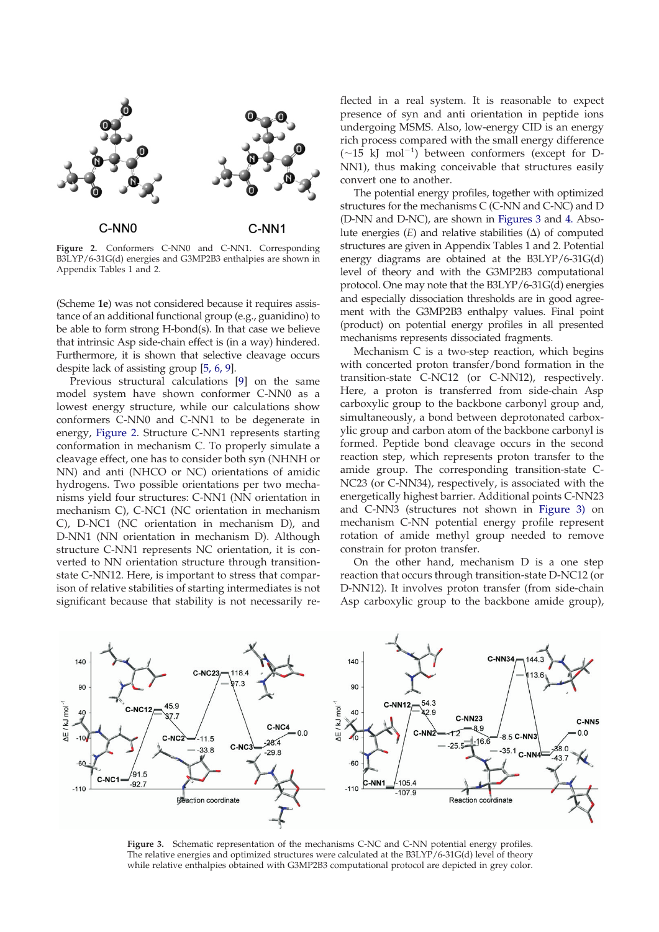

**Figure 2.** Conformers C-NN0 and C-NN1. Corresponding B3LYP/6-31G(d) energies and G3MP2B3 enthalpies are shown in Appendix Tables 1 and 2.

(Scheme **1e**) was not considered because it requires assistance of an additional functional group (e.g., guanidino) to be able to form strong H-bond(s). In that case we believe that intrinsic Asp side-chain effect is (in a way) hindered. Furthermore, it is shown that selective cleavage occurs despite lack of assisting group [5, 6, 9].

Previous structural calculations [9] on the same model system have shown conformer C-NN0 as a lowest energy structure, while our calculations show conformers C-NN0 and C-NN1 to be degenerate in energy, Figure 2. Structure C-NN1 represents starting conformation in mechanism C. To properly simulate a cleavage effect, one has to consider both syn (NHNH or NN) and anti (NHCO or NC) orientations of amidic hydrogens. Two possible orientations per two mechanisms yield four structures: C-NN1 (NN orientation in mechanism C), C-NC1 (NC orientation in mechanism C), D-NC1 (NC orientation in mechanism D), and D-NN1 (NN orientation in mechanism D). Although structure C-NN1 represents NC orientation, it is converted to NN orientation structure through transitionstate C-NN12. Here, is important to stress that comparison of relative stabilities of starting intermediates is not significant because that stability is not necessarily reflected in a real system. It is reasonable to expect presence of syn and anti orientation in peptide ions undergoing MSMS. Also, low-energy CID is an energy rich process compared with the small energy difference  $(\sim 15$  kJ mol<sup>-1</sup>) between conformers (except for D-NN1), thus making conceivable that structures easily convert one to another.

The potential energy profiles, together with optimized structures for the mechanisms C (C-NN and C-NC) and D (D-NN and D-NC), are shown in Figures 3 and 4. Absolute energies  $(E)$  and relative stabilities  $(\Delta)$  of computed structures are given in Appendix Tables 1 and 2. Potential energy diagrams are obtained at the B3LYP/6-31G(d) level of theory and with the G3MP2B3 computational protocol. One may note that the B3LYP/6-31G(d) energies and especially dissociation thresholds are in good agreement with the G3MP2B3 enthalpy values. Final point (product) on potential energy profiles in all presented mechanisms represents dissociated fragments.

Mechanism C is a two-step reaction, which begins with concerted proton transfer/bond formation in the transition-state C-NC12 (or C-NN12), respectively. Here, a proton is transferred from side-chain Asp carboxylic group to the backbone carbonyl group and, simultaneously, a bond between deprotonated carboxylic group and carbon atom of the backbone carbonyl is formed. Peptide bond cleavage occurs in the second reaction step, which represents proton transfer to the amide group. The corresponding transition-state C-NC23 (or C-NN34), respectively, is associated with the energetically highest barrier. Additional points C-NN23 and C-NN3 (structures not shown in Figure 3) on mechanism C-NN potential energy profile represent rotation of amide methyl group needed to remove constrain for proton transfer.

On the other hand, mechanism D is a one step reaction that occurs through transition-state D-NC12 (or D-NN12). It involves proton transfer (from side-chain Asp carboxylic group to the backbone amide group),



**Figure 3.** Schematic representation of the mechanisms C-NC and C-NN potential energy profiles. The relative energies and optimized structures were calculated at the B3LYP/6-31G(d) level of theory while relative enthalpies obtained with G3MP2B3 computational protocol are depicted in grey color.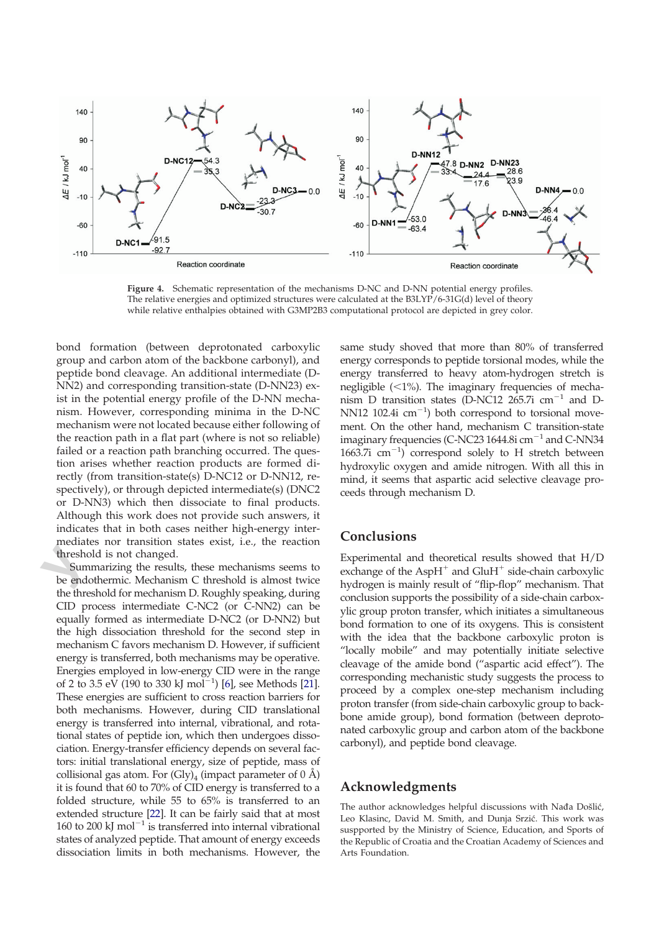

**Figure 4.** Schematic representation of the mechanisms D-NC and D-NN potential energy profiles. The relative energies and optimized structures were calculated at the B3LYP/6-31G(d) level of theory while relative enthalpies obtained with G3MP2B3 computational protocol are depicted in grey color.

bond formation (between deprotonated carboxylic group and carbon atom of the backbone carbonyl), and peptide bond cleavage. An additional intermediate (D-NN2) and corresponding transition-state (D-NN23) exist in the potential energy profile of the D-NN mechanism. However, corresponding minima in the D-NC mechanism were not located because either following of the reaction path in a flat part (where is not so reliable) failed or a reaction path branching occurred. The question arises whether reaction products are formed directly (from transition-state(s) D-NC12 or D-NN12, respectively), or through depicted intermediate(s) (DNC2 or D-NN3) which then dissociate to final products. Although this work does not provide such answers, it indicates that in both cases neither high-energy intermediates nor transition states exist, i.e., the reaction threshold is not changed.

threshold is not changed.<br> **Summarizing the results, these mechanisms seems to**<br>
be endothermic. Mechanism C threshold is almost twice Summarizing the results, these mechanisms seems to the threshold for mechanism D. Roughly speaking, during CID process intermediate C-NC2 (or C-NN2) can be equally formed as intermediate D-NC2 (or D-NN2) but the high dissociation threshold for the second step in mechanism C favors mechanism D. However, if sufficient energy is transferred, both mechanisms may be operative. Energies employed in low-energy CID were in the range of 2 to 3.5 eV (190 to 330 kJ mol<sup>-1</sup>) [6], see Methods [21]. These energies are sufficient to cross reaction barriers for both mechanisms. However, during CID translational energy is transferred into internal, vibrational, and rotational states of peptide ion, which then undergoes dissociation. Energy-transfer efficiency depends on several factors: initial translational energy, size of peptide, mass of collisional gas atom. For  $(Gly)<sub>4</sub>$  (impact parameter of 0 Å) it is found that 60 to 70% of CID energy is transferred to a folded structure, while 55 to 65% is transferred to an extended structure [22]. It can be fairly said that at most 160 to 200 kJ mol<sup> $-1$ </sup> is transferred into internal vibrational states of analyzed peptide. That amount of energy exceeds dissociation limits in both mechanisms. However, the

same study shoved that more than 80% of transferred energy corresponds to peptide torsional modes, while the energy transferred to heavy atom-hydrogen stretch is negligible  $\left\langle \langle 1\% \rangle \right\rangle$ . The imaginary frequencies of mechanism D transition states (D-NC12 265.7i  $cm^{-1}$  and D-NN12 102.4i  $\text{cm}^{-1}$ ) both correspond to torsional movement. On the other hand, mechanism C transition-state imaginary frequencies (C-NC23 1644.8i  $cm^{-1}$  and C-NN34 1663.7i  $\text{cm}^{-1}$ ) correspond solely to H stretch between hydroxylic oxygen and amide nitrogen. With all this in mind, it seems that aspartic acid selective cleavage proceeds through mechanism D.

## **Conclusions**

Experimental and theoretical results showed that H/D exchange of the Asp $H^+$  and Glu $H^+$  side-chain carboxylic hydrogen is mainly result of "flip-flop" mechanism. That conclusion supports the possibility of a side-chain carboxylic group proton transfer, which initiates a simultaneous bond formation to one of its oxygens. This is consistent with the idea that the backbone carboxylic proton is "locally mobile" and may potentially initiate selective cleavage of the amide bond ("aspartic acid effect"). The corresponding mechanistic study suggests the process to proceed by a complex one-step mechanism including proton transfer (from side-chain carboxylic group to backbone amide group), bond formation (between deprotonated carboxylic group and carbon atom of the backbone carbonyl), and peptide bond cleavage.

### **Acknowledgments**

The author acknowledges helpful discussions with Nađa Došlić, Leo Klasinc, David M. Smith, and Dunja Srzić. This work was suspported by the Ministry of Science, Education, and Sports of the Republic of Croatia and the Croatian Academy of Sciences and Arts Foundation.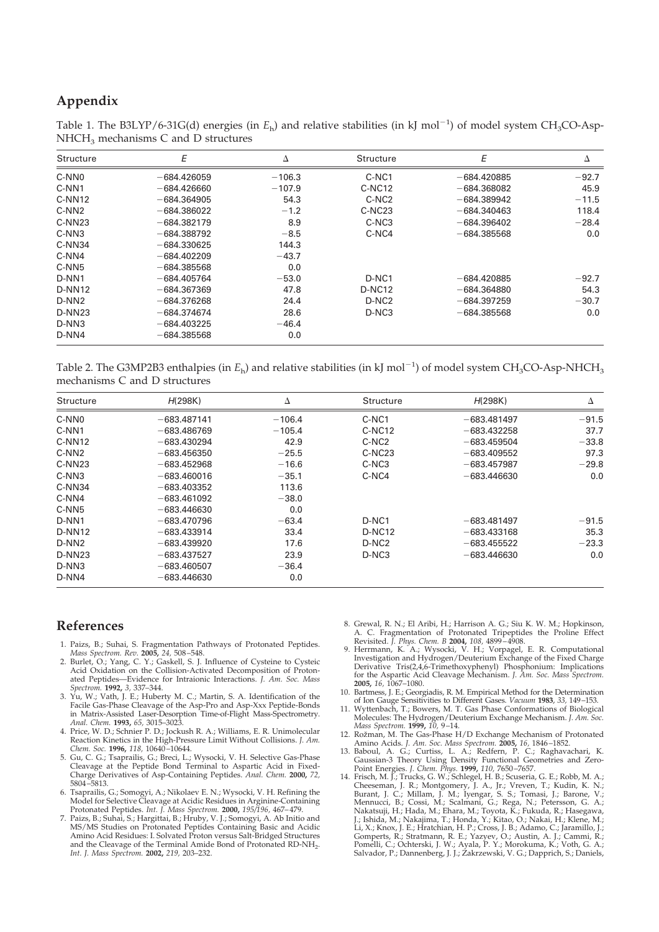# **Appendix**

Table 1. The B3LYP/6-31G(d) energies (in  $E_h$ ) and relative stabilities (in kJ mol<sup>-1</sup>) of model system CH<sub>3</sub>CO-Asp- $NHCH<sub>3</sub>$  mechanisms C and D structures

| Structure         | E             | Δ        | Structure          | E             | Δ       |
|-------------------|---------------|----------|--------------------|---------------|---------|
| C-NN <sub>0</sub> | $-684.426059$ | $-106.3$ | C-NC1              | $-684.420885$ | $-92.7$ |
| C-NN1             | $-684.426660$ | $-107.9$ | $C-NC12$           | $-684.368082$ | 45.9    |
| $C-NN12$          | $-684.364905$ | 54.3     | C-NC <sub>2</sub>  | $-684.389942$ | $-11.5$ |
| C-NN <sub>2</sub> | $-684.386022$ | $-1.2$   | $C-NC23$           | $-684.340463$ | 118.4   |
| $C-NN23$          | $-684.382179$ | 8.9      | C-NC <sub>3</sub>  | $-684.396402$ | $-28.4$ |
| $C-NN3$           | $-684.388792$ | $-8.5$   | C-NC4              | $-684.385568$ | 0.0     |
| $C-NN34$          | $-684.330625$ | 144.3    |                    |               |         |
| C-NN4             | $-684.402209$ | $-43.7$  |                    |               |         |
| C-NN <sub>5</sub> | $-684.385568$ | 0.0      |                    |               |         |
| D-NN1             | $-684.405764$ | $-53.0$  | D-NC1              | $-684.420885$ | $-92.7$ |
| $D-NN12$          | $-684.367369$ | 47.8     | D-NC <sub>12</sub> | $-684.364880$ | 54.3    |
| $D-NN2$           | $-684.376268$ | 24.4     | D-NC <sub>2</sub>  | $-684.397259$ | $-30.7$ |
| <b>D-NN23</b>     | $-684.374674$ | 28.6     | D-NC3              | $-684.385568$ | 0.0     |
| D-NN3             | $-684.403225$ | $-46.4$  |                    |               |         |
| D-NN4             | $-684.385568$ | 0.0      |                    |               |         |

Table 2. The G3MP2B3 enthalpies (in  $E_h$ ) and relative stabilities (in kJ mol<sup>-1</sup>) of model system CH<sub>3</sub>CO-Asp-NHCH<sub>3</sub> mechanisms C and D structures

| Structure          | H(298K)       | Δ        | Structure          | H(298K)       | Δ       |
|--------------------|---------------|----------|--------------------|---------------|---------|
| C-NN <sub>0</sub>  | $-683.487141$ | $-106.4$ | C-NC1              | $-683.481497$ | $-91.5$ |
| C-NN1              | $-683.486769$ | $-105.4$ | $C-NC12$           | $-683.432258$ | 37.7    |
| $C-NN12$           | $-683.430294$ | 42.9     | C-NC <sub>2</sub>  | $-683.459504$ | $-33.8$ |
| C-NN <sub>2</sub>  | $-683.456350$ | $-25.5$  | C-NC <sub>23</sub> | $-683,409552$ | 97.3    |
| $C-NN23$           | $-683.452968$ | $-16.6$  | C-NC3              | $-683.457987$ | $-29.8$ |
| $C-NN3$            | $-683.460016$ | $-35.1$  | C-NC4              | $-683.446630$ | 0.0     |
| $C-NN34$           | $-683.403352$ | 113.6    |                    |               |         |
| C-NN4              | $-683,461092$ | $-38.0$  |                    |               |         |
| C-NN <sub>5</sub>  | $-683.446630$ | 0.0      |                    |               |         |
| D-NN1              | $-683.470796$ | $-63.4$  | D-NC1              | $-683.481497$ | $-91.5$ |
| $D-NN12$           | $-683.433914$ | 33.4     | D-NC <sub>12</sub> | $-683,433168$ | 35.3    |
| D-NN <sub>2</sub>  | $-683.439920$ | 17.6     | D-NC <sub>2</sub>  | $-683.455522$ | $-23.3$ |
| D-NN <sub>23</sub> | $-683.437527$ | 23.9     | D-NC3              | $-683.446630$ | 0.0     |
| $D-NN3$            | $-683.460507$ | $-36.4$  |                    |               |         |
| D-NN4              | $-683.446630$ | 0.0      |                    |               |         |

## **References**

- 1. Paizs, B.; Suhai, S. Fragmentation Pathways of Protonated Peptides. *Mass Spectrom. Rev.* **2005,** *24,* 508 –548.
- 2. Burlet, O.; Yang, C. Y.; Gaskell, S. J. Influence of Cysteine to Cysteic Acid Oxidation on the Collision-Activated Decomposition of Protonated Peptides—Evidence for Intraionic Interactions. *J. Am. Soc. Mass Spectrom.* **1992,** *3,* 337–344.
- 3. Yu, W.; Vath, J. E.; Huberty M. C.; Martin, S. A. Identification of the Facile Gas-Phase Cleavage of the Asp-Pro and Asp-Xxx Peptide-Bonds in Matrix-Assisted Laser-Desorption Time-of-Flight Mass-Spectrometry. *Anal. Chem.* **1993,** *65,* 3015–3023.
- 4. Price, W. D.; Schnier P. D.; Jockush R. A.; Williams, E. R. Unimolecular Reaction Kinetics in the High-Pressure Limit Without Collisions. *J. Am. Chem. Soc.* **1996,** *118,* 10640 –10644.
- 5. Gu, C. G.; Tsaprailis, G.; Breci, L.; Wysocki, V. H. Selective Gas-Phase Cleavage at the Peptide Bond Terminal to Aspartic Acid in Fixed-Charge Derivatives of Asp-Containing Peptides. *Anal. Chem.* **2000,** *72,* 5804 –5813.
- 6. Tsaprailis, G.; Somogyi, A.; Nikolaev E. N.; Wysocki, V. H. Refining the Model for Selective Cleavage at Acidic Residues in Arginine-Containing Protonated Peptides. *Int. J. Mass Spectrom.* **2000,** *195/196,* 467– 479.
- 7. Paizs, B.; Suhai, S.; Hargittai, B.; Hruby, V. J.; Somogyi, A. Ab Initio and MS/MS Studies on Protonated Peptides Containing Basic and Acidic Amino Acid Residues: I. Solvated Proton versus Salt-Bridged Structures and the Cleavage of the Terminal Amide Bond of Protonated RD-NH<sub>2</sub>. *Int. J. Mass Spectrom.* **2002,** *219,* 203–232.
- 8. Grewal, R. N.; El Aribi, H.; Harrison A. G.; Siu K. W. M.; Hopkinson, A. C. Fragmentation of Protonated Tripeptides the Proline Effect
- Revisited. *J. Phys. Chem. B* **2004,** 108, 4899–4908.<br>9. Herrmann, K. A.; Wysocki, V. H.; Vorpagel, E. R. Computational<br>Investigation and Hydrogen/Deuterium Exchange of the Fixed Charge Derivative Tris(2,4,6-Trimethoxyphenyl) Phosphonium: Implications for the Aspartic Acid Cleavage Mechanism. *J. Am. Soc. Mass Spectrom.* **2005,** *16,* 1067–1080.
- 10. Bartmess, J. E.; Georgiadis, R. M. Empirical Method for the Determination of Ion Gauge Sensitivities to Different Gases. *Vacuum* **1983**, *33,* 149–153.
- 11. Wyttenbach, T.; Bowers, M. T. Gas Phase Conformations of Biological<br>Molecules: The Hydrogen/Deuterium Exchange Mechanism. J. Am. Soc.<br>Mass Spectrom. **1999**, 10, 9–14.<br>12. Rožman, M. The Gas-Phase H/D Exchange Mechanism
- 
- 13. Baboul, A. G.; Curtiss, L. A.; Redfern, P. C.; Raghavachari, K. Gaussian-3 Theory Using Density Functional Geometries and Zero-<br>Point Energies. J. Chem. Phys. **1999**, 110, 7650–7657.<br>14. Frisch, M. J.; Trucks, G. W.; S
- Cheeseman, J. R.; Montgomery, J. A., Jr.; Vreven, T.; Kudin, K. N.;<br>Burant, J. C.; Millam, J. M.; Iyengar, S. S.; Tomasi, J.; Barone, V.;<br>Mennucci, B.; Cossi, M.; Scalmani, G.; Rega, N.; Petersson, G. A.;<br>Nakatsuji, H.; Ha Li, X.; Knox, J. E.; Hratchian, H. P.; Cross, J. B.; Adamo, C.; Jaramillo, J.,<br>Gomperts, R.; Stratmann, R. E.; Yazyev, O.; Austin, A. J.; Cammi, R.<br>Pomelli, C.; Ochterski, J. W.; Ayala, P. Y.; Morokuma, K.; Voth, G. A., Salvador, P.; Dannenberg, J. J.; Zakrzewski, V. G.; Dapprich, S.; Daniels,